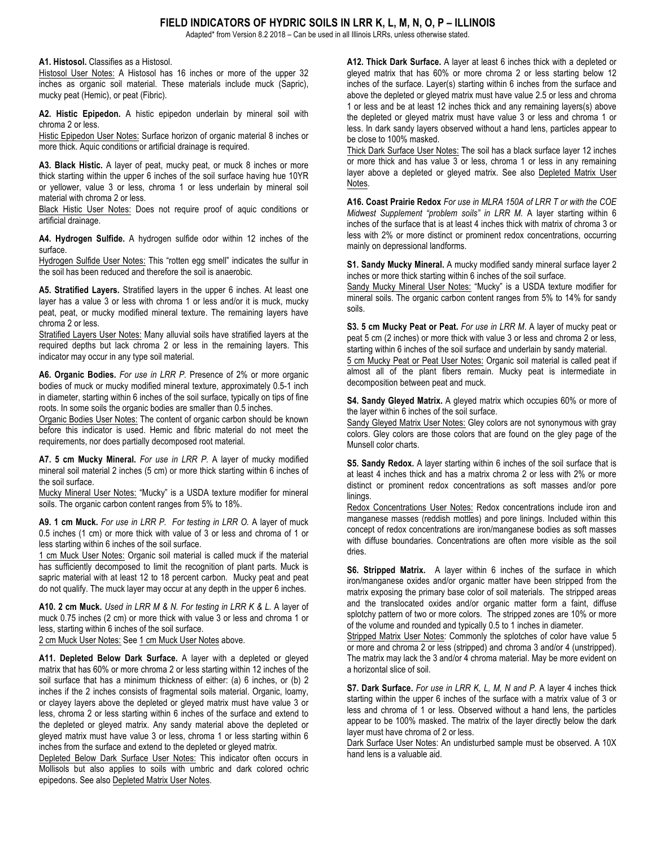## **FIELD INDICATORS OF HYDRIC SOILS IN LRR K, L, M, N, O, P – ILLINOIS**

Adapted\* from Version 8.2 2018 – Can be used in all Illinois LRRs, unless otherwise stated.

**A1. Histosol.** Classifies as a Histosol.

Histosol User Notes: A Histosol has 16 inches or more of the upper 32 inches as organic soil material. These materials include muck (Sapric), mucky peat (Hemic), or peat (Fibric).

**A2. Histic Epipedon.** A histic epipedon underlain by mineral soil with chroma 2 or less.

Histic Epipedon User Notes: Surface horizon of organic material 8 inches or more thick. Aquic conditions or artificial drainage is required.

**A3. Black Histic.** A layer of peat, mucky peat, or muck 8 inches or more thick starting within the upper 6 inches of the soil surface having hue 10YR or yellower, value 3 or less, chroma 1 or less underlain by mineral soil material with chroma 2 or less.

Black Histic User Notes: Does not require proof of aquic conditions or artificial drainage.

**A4. Hydrogen Sulfide.** A hydrogen sulfide odor within 12 inches of the surface.

Hydrogen Sulfide User Notes: This "rotten egg smell" indicates the sulfur in the soil has been reduced and therefore the soil is anaerobic.

**A5. Stratified Layers.** Stratified layers in the upper 6 inches. At least one layer has a value 3 or less with chroma 1 or less and/or it is muck, mucky peat, peat, or mucky modified mineral texture. The remaining layers have chroma 2 or less.

Stratified Layers User Notes: Many alluvial soils have stratified layers at the required depths but lack chroma 2 or less in the remaining layers. This indicator may occur in any type soil material.

**A6. Organic Bodies.** *For use in LRR P.* Presence of 2% or more organic bodies of muck or mucky modified mineral texture, approximately 0.5-1 inch in diameter, starting within 6 inches of the soil surface, typically on tips of fine roots. In some soils the organic bodies are smaller than 0.5 inches.

Organic Bodies User Notes: The content of organic carbon should be known before this indicator is used. Hemic and fibric material do not meet the requirements, nor does partially decomposed root material.

**A7. 5 cm Mucky Mineral.** *For use in LRR P.* A layer of mucky modified mineral soil material 2 inches (5 cm) or more thick starting within 6 inches of the soil surface.

Mucky Mineral User Notes: "Mucky" is a USDA texture modifier for mineral soils. The organic carbon content ranges from 5% to 18%.

**A9. 1 cm Muck.** *For use in LRR P. For testing in LRR O.* A layer of muck 0.5 inches (1 cm) or more thick with value of 3 or less and chroma of 1 or less starting within 6 inches of the soil surface.

1 cm Muck User Notes: Organic soil material is called muck if the material has sufficiently decomposed to limit the recognition of plant parts. Muck is sapric material with at least 12 to 18 percent carbon. Mucky peat and peat do not qualify. The muck layer may occur at any depth in the upper 6 inches.

**A10. 2 cm Muck.** *Used in LRR M & N. For testing in LRR K & L.* A layer of muck 0.75 inches (2 cm) or more thick with value 3 or less and chroma 1 or less, starting within 6 inches of the soil surface.

2 cm Muck User Notes: See 1 cm Muck User Notes above.

**A11. Depleted Below Dark Surface.** A layer with a depleted or gleyed matrix that has 60% or more chroma 2 or less starting within 12 inches of the soil surface that has a minimum thickness of either: (a) 6 inches, or (b) 2 inches if the 2 inches consists of fragmental soils material. Organic, loamy, or clayey layers above the depleted or gleyed matrix must have value 3 or less, chroma 2 or less starting within 6 inches of the surface and extend to the depleted or gleyed matrix. Any sandy material above the depleted or gleyed matrix must have value 3 or less, chroma 1 or less starting within 6 inches from the surface and extend to the depleted or gleyed matrix.

Depleted Below Dark Surface User Notes: This indicator often occurs in Mollisols but also applies to soils with umbric and dark colored ochric epipedons. See also Depleted Matrix User Notes.

**A12. Thick Dark Surface.** A layer at least 6 inches thick with a depleted or gleyed matrix that has 60% or more chroma 2 or less starting below 12 inches of the surface. Layer(s) starting within 6 inches from the surface and above the depleted or gleyed matrix must have value 2.5 or less and chroma 1 or less and be at least 12 inches thick and any remaining layers(s) above the depleted or gleyed matrix must have value 3 or less and chroma 1 or less. In dark sandy layers observed without a hand lens, particles appear to be close to 100% masked.

Thick Dark Surface User Notes: The soil has a black surface layer 12 inches or more thick and has value 3 or less, chroma 1 or less in any remaining layer above a depleted or gleyed matrix. See also Depleted Matrix User Notes.

**A16. Coast Prairie Redox** *For use in MLRA 150A of LRR T or with the COE Midwest Supplement "problem soils" in LRR M.* A layer starting within 6 inches of the surface that is at least 4 inches thick with matrix of chroma 3 or less with 2% or more distinct or prominent redox concentrations, occurring mainly on depressional landforms.

**S1. Sandy Mucky Mineral.** A mucky modified sandy mineral surface layer 2 inches or more thick starting within 6 inches of the soil surface.

Sandy Mucky Mineral User Notes: "Mucky" is a USDA texture modifier for mineral soils. The organic carbon content ranges from 5% to 14% for sandy soils.

**S3. 5 cm Mucky Peat or Peat.** *For use in LRR M*. A layer of mucky peat or peat 5 cm (2 inches) or more thick with value 3 or less and chroma 2 or less, starting within 6 inches of the soil surface and underlain by sandy material. 5 cm Mucky Peat or Peat User Notes: Organic soil material is called peat if almost all of the plant fibers remain. Mucky peat is intermediate in decomposition between peat and muck.

**S4. Sandy Gleyed Matrix.** A gleyed matrix which occupies 60% or more of the layer within 6 inches of the soil surface.

Sandy Gleyed Matrix User Notes: Gley colors are not synonymous with gray colors. Gley colors are those colors that are found on the gley page of the Munsell color charts.

**S5. Sandy Redox.** A layer starting within 6 inches of the soil surface that is at least 4 inches thick and has a matrix chroma 2 or less with 2% or more distinct or prominent redox concentrations as soft masses and/or pore linings.

Redox Concentrations User Notes: Redox concentrations include iron and manganese masses (reddish mottles) and pore linings. Included within this concept of redox concentrations are iron/manganese bodies as soft masses with diffuse boundaries. Concentrations are often more visible as the soil dries.

**S6. Stripped Matrix.** A layer within 6 inches of the surface in which iron/manganese oxides and/or organic matter have been stripped from the matrix exposing the primary base color of soil materials. The stripped areas and the translocated oxides and/or organic matter form a faint, diffuse splotchy pattern of two or more colors. The stripped zones are 10% or more of the volume and rounded and typically 0.5 to 1 inches in diameter.

Stripped Matrix User Notes: Commonly the splotches of color have value 5 or more and chroma 2 or less (stripped) and chroma 3 and/or 4 (unstripped). The matrix may lack the 3 and/or 4 chroma material. May be more evident on a horizontal slice of soil.

**S7. Dark Surface.** *For use in LRR K, L, M, N and P.* A layer 4 inches thick starting within the upper 6 inches of the surface with a matrix value of 3 or less and chroma of 1 or less. Observed without a hand lens, the particles appear to be 100% masked. The matrix of the layer directly below the dark layer must have chroma of 2 or less.

Dark Surface User Notes: An undisturbed sample must be observed. A 10X hand lens is a valuable aid.